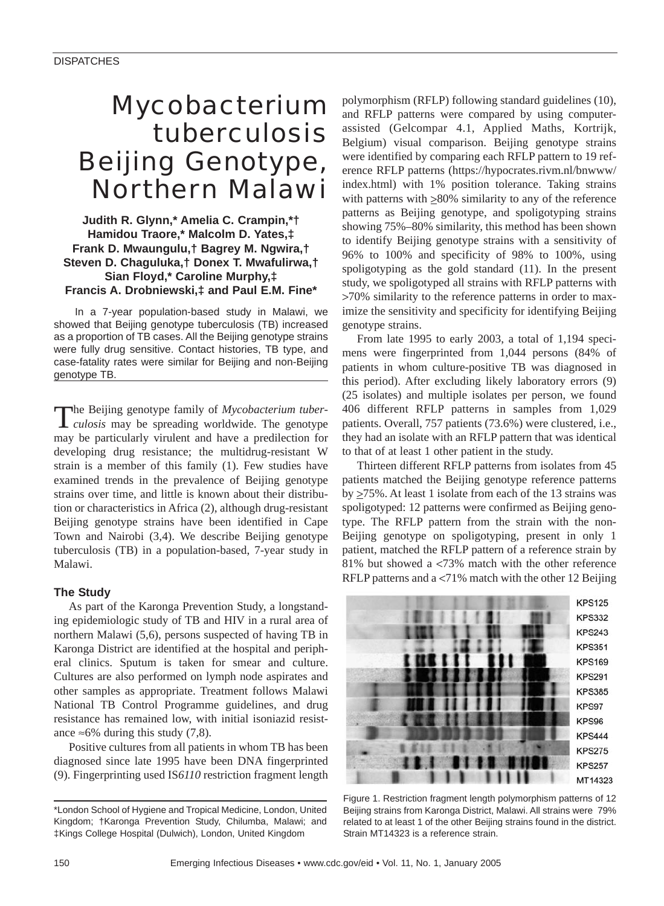# *Mycobacterium tuberculosis* Beijing Genotype, Northern Malawi

**Judith R. Glynn,\* Amelia C. Crampin,\*† Hamidou Traore,\* Malcolm D. Yates,‡ Frank D. Mwaungulu,† Bagrey M. Ngwira,† Steven D. Chaguluka,† Donex T. Mwafulirwa,† Sian Floyd,\* Caroline Murphy,‡ Francis A. Drobniewski,‡ and Paul E.M. Fine\***

In a 7-year population-based study in Malawi, we showed that Beijing genotype tuberculosis (TB) increased as a proportion of TB cases. All the Beijing genotype strains were fully drug sensitive. Contact histories, TB type, and case-fatality rates were similar for Beijing and non-Beijing genotype TB.

The Beijing genotype family of *Mycobacterium tuber-culosis* may be spreading worldwide. The genotype may be particularly virulent and have a predilection for developing drug resistance; the multidrug-resistant W strain is a member of this family (1). Few studies have examined trends in the prevalence of Beijing genotype strains over time, and little is known about their distribution or characteristics in Africa (2), although drug-resistant Beijing genotype strains have been identified in Cape Town and Nairobi (3,4). We describe Beijing genotype tuberculosis (TB) in a population-based, 7-year study in Malawi.

## **The Study**

As part of the Karonga Prevention Study, a longstanding epidemiologic study of TB and HIV in a rural area of northern Malawi (5,6), persons suspected of having TB in Karonga District are identified at the hospital and peripheral clinics. Sputum is taken for smear and culture. Cultures are also performed on lymph node aspirates and other samples as appropriate. Treatment follows Malawi National TB Control Programme guidelines, and drug resistance has remained low, with initial isoniazid resistance ≈6% during this study  $(7,8)$ .

Positive cultures from all patients in whom TB has been diagnosed since late 1995 have been DNA fingerprinted (9). Fingerprinting used IS*6110* restriction fragment length polymorphism (RFLP) following standard guidelines (10), and RFLP patterns were compared by using computerassisted (Gelcompar 4.1, Applied Maths, Kortrijk, Belgium) visual comparison. Beijing genotype strains were identified by comparing each RFLP pattern to 19 reference RFLP patterns (https://hypocrates.rivm.nl/bnwww/ index.html) with 1% position tolerance. Taking strains with patterns with  $\geq 80\%$  similarity to any of the reference patterns as Beijing genotype, and spoligotyping strains showing 75%–80% similarity, this method has been shown to identify Beijing genotype strains with a sensitivity of 96% to 100% and specificity of 98% to 100%, using spoligotyping as the gold standard (11). In the present study, we spoligotyped all strains with RFLP patterns with >70% similarity to the reference patterns in order to maximize the sensitivity and specificity for identifying Beijing genotype strains.

From late 1995 to early 2003, a total of 1,194 specimens were fingerprinted from 1,044 persons (84% of patients in whom culture-positive TB was diagnosed in this period). After excluding likely laboratory errors (9) (25 isolates) and multiple isolates per person, we found 406 different RFLP patterns in samples from 1,029 patients. Overall, 757 patients (73.6%) were clustered, i.e., they had an isolate with an RFLP pattern that was identical to that of at least 1 other patient in the study.

Thirteen different RFLP patterns from isolates from 45 patients matched the Beijing genotype reference patterns by  $\geq$ 75%. At least 1 isolate from each of the 13 strains was spoligotyped: 12 patterns were confirmed as Beijing genotype. The RFLP pattern from the strain with the non-Beijing genotype on spoligotyping, present in only 1 patient, matched the RFLP pattern of a reference strain by 81% but showed a <73% match with the other reference RFLP patterns and a <71% match with the other 12 Beijing



Figure 1. Restriction fragment length polymorphism patterns of 12 Beijing strains from Karonga District, Malawi. All strains were 79% related to at least 1 of the other Beijing strains found in the district. Strain MT14323 is a reference strain.

<sup>\*</sup>London School of Hygiene and Tropical Medicine, London, United Kingdom; †Karonga Prevention Study, Chilumba, Malawi; and ‡Kings College Hospital (Dulwich), London, United Kingdom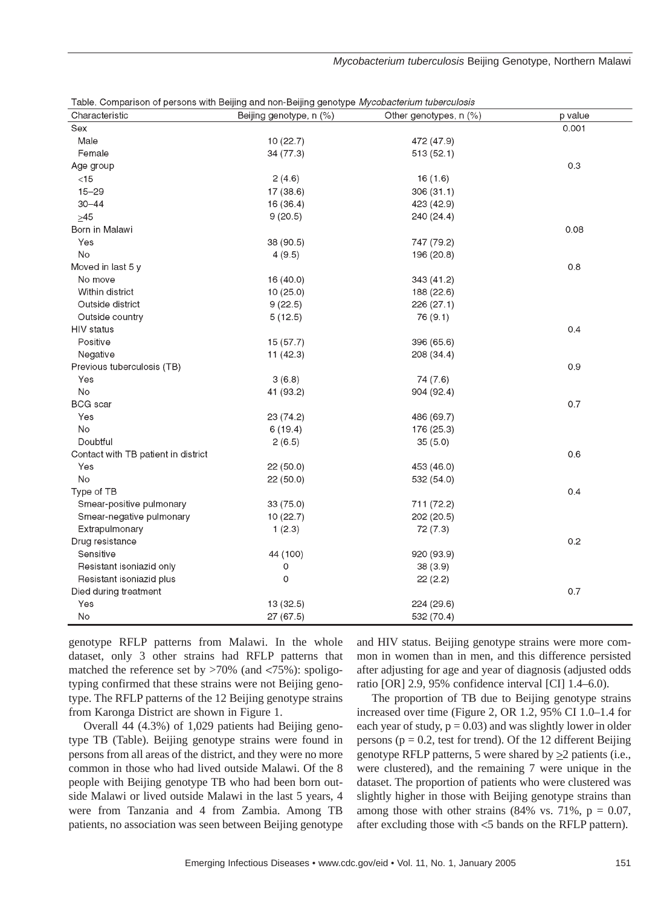Characteristic Beijing genotype, n (%) Other genotypes, n (%) p value Sex  $0.001$ Male  $10(22.7)$ 472 (47.9) Female 34 (77.3)  $513(52.1)$ Age group  $0.3$  $2(4.6)$  $<15$  $16(1.6)$  $15 - 29$  $17(38.6)$ 306 (31.1)  $30 - 44$  $16(36.4)$ 423 (42.9)  $9(20.5)$ 240 (24.4)  $>45$ Born in Malawi  $0.08$ Yes 38 (90.5) 747 (79.2) **No**  $4(9.5)$ 196 (20.8) Moved in last 5 y  $0.8$ No move  $16(40.0)$ 343 (41.2) Within district  $10(25.0)$ 188 (22.6) Outside district  $9(22.5)$  $226(27.1)$ Outside country  $5(12.5)$ 76 (9.1) HIV status  $0.4$ Positive  $15(57.7)$ 396 (65.6) Negative  $11(42.3)$ 208 (34.4) Previous tuberculosis (TB)  $0.9$ Yes  $3(6.8)$ 74 (7.6) **No** 41 (93.2) 904 (92.4) **BCG** scar  $07$ Yes 23 (74.2) 486 (69.7)  $No$  $6(19.4)$ 176 (25.3) Doubtful  $2(6.5)$  $35(5.0)$ Contact with TB patient in district  $0.6$  $22(50.0)$ 453 (46.0) Yes **No**  $22(50.0)$ 532 (54.0) Type of TB  $0.4$ Smear-positive pulmonary 33 (75.0) 711 (72.2) Smear-negative pulmonary  $10(22.7)$ 202 (20.5) Extrapulmonary  $1(2.3)$ 72 (7.3) Drug resistance  $0.2$ Sensitive 44 (100) 920 (93.9) Resistant isoniazid only  $\Omega$ 38 (3.9) Resistant isoniazid plus 0  $22(2.2)$ Died during treatment  $0.7$ Yes 13 (32.5) 224 (29.6) **No** 27 (67.5) 532 (70.4)

*Mycobacterium tuberculosis* Beijing Genotype, Northern Malawi

Table. Comparison of persons with Beijing and non-Beijing genotype Mycobacterium tuberculosis

genotype RFLP patterns from Malawi. In the whole dataset, only 3 other strains had RFLP patterns that matched the reference set by  $>70\%$  (and  $<75\%$ ): spoligotyping confirmed that these strains were not Beijing genotype. The RFLP patterns of the 12 Beijing genotype strains from Karonga District are shown in Figure 1.

Overall 44 (4.3%) of 1,029 patients had Beijing genotype TB (Table). Beijing genotype strains were found in persons from all areas of the district, and they were no more common in those who had lived outside Malawi. Of the 8 people with Beijing genotype TB who had been born outside Malawi or lived outside Malawi in the last 5 years, 4 were from Tanzania and 4 from Zambia. Among TB patients, no association was seen between Beijing genotype and HIV status. Beijing genotype strains were more common in women than in men, and this difference persisted after adjusting for age and year of diagnosis (adjusted odds ratio [OR] 2.9, 95% confidence interval [CI] 1.4–6.0).

The proportion of TB due to Beijing genotype strains increased over time (Figure 2, OR 1.2, 95% CI 1.0–1.4 for each year of study,  $p = 0.03$ ) and was slightly lower in older persons ( $p = 0.2$ , test for trend). Of the 12 different Beijing genotype RFLP patterns, 5 were shared by  $\geq 2$  patients (i.e., were clustered), and the remaining 7 were unique in the dataset. The proportion of patients who were clustered was slightly higher in those with Beijing genotype strains than among those with other strains  $(84\% \text{ vs. } 71\%, \text{ p} = 0.07,$ after excluding those with <5 bands on the RFLP pattern).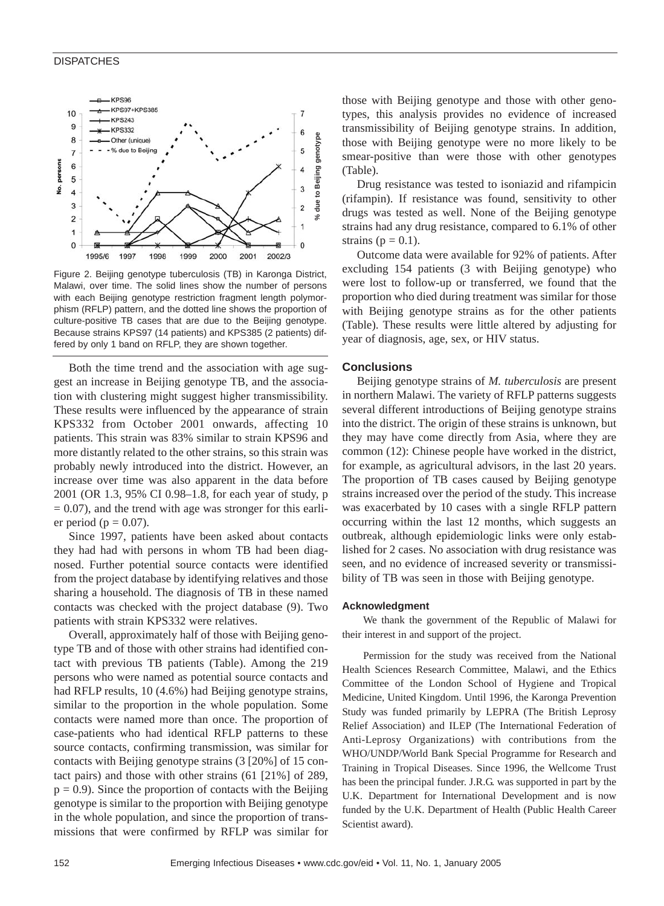#### **DISPATCHES**



Figure 2. Beijing genotype tuberculosis (TB) in Karonga District, Malawi, over time. The solid lines show the number of persons with each Beijing genotype restriction fragment length polymorphism (RFLP) pattern, and the dotted line shows the proportion of culture-positive TB cases that are due to the Beijing genotype. Because strains KPS97 (14 patients) and KPS385 (2 patients) dif-

Both the time trend and the association with age suggest an increase in Beijing genotype TB, and the association with clustering might suggest higher transmissibility. These results were influenced by the appearance of strain KPS332 from October 2001 onwards, affecting 10 patients. This strain was 83% similar to strain KPS96 and more distantly related to the other strains, so this strain was probably newly introduced into the district. However, an increase over time was also apparent in the data before 2001 (OR 1.3, 95% CI 0.98–1.8, for each year of study, p  $= 0.07$ ), and the trend with age was stronger for this earlier period ( $p = 0.07$ ).

Since 1997, patients have been asked about contacts they had had with persons in whom TB had been diagnosed. Further potential source contacts were identified from the project database by identifying relatives and those sharing a household. The diagnosis of TB in these named contacts was checked with the project database (9). Two patients with strain KPS332 were relatives.

Overall, approximately half of those with Beijing genotype TB and of those with other strains had identified contact with previous TB patients (Table). Among the 219 persons who were named as potential source contacts and had RFLP results, 10 (4.6%) had Beijing genotype strains, similar to the proportion in the whole population. Some contacts were named more than once. The proportion of case-patients who had identical RFLP patterns to these source contacts, confirming transmission, was similar for contacts with Beijing genotype strains (3 [20%] of 15 contact pairs) and those with other strains (61 [21%] of 289,  $p = 0.9$ ). Since the proportion of contacts with the Beijing genotype is similar to the proportion with Beijing genotype in the whole population, and since the proportion of transmissions that were confirmed by RFLP was similar for

those with Beijing genotype and those with other genotypes, this analysis provides no evidence of increased transmissibility of Beijing genotype strains. In addition, those with Beijing genotype were no more likely to be smear-positive than were those with other genotypes (Table).

Drug resistance was tested to isoniazid and rifampicin (rifampin). If resistance was found, sensitivity to other drugs was tested as well. None of the Beijing genotype strains had any drug resistance, compared to 6.1% of other strains ( $p = 0.1$ ).

Outcome data were available for 92% of patients. After excluding 154 patients (3 with Beijing genotype) who were lost to follow-up or transferred, we found that the proportion who died during treatment was similar for those with Beijing genotype strains as for the other patients (Table). These results were little altered by adjusting for year of diagnosis, age, sex, or HIV status.

#### **Conclusions**

Beijing genotype strains of *M. tuberculosis* are present in northern Malawi. The variety of RFLP patterns suggests several different introductions of Beijing genotype strains into the district. The origin of these strains is unknown, but they may have come directly from Asia, where they are common (12): Chinese people have worked in the district, for example, as agricultural advisors, in the last 20 years. The proportion of TB cases caused by Beijing genotype strains increased over the period of the study. This increase was exacerbated by 10 cases with a single RFLP pattern occurring within the last 12 months, which suggests an outbreak, although epidemiologic links were only established for 2 cases. No association with drug resistance was seen, and no evidence of increased severity or transmissibility of TB was seen in those with Beijing genotype.

#### **Acknowledgment**

We thank the government of the Republic of Malawi for their interest in and support of the project.

Permission for the study was received from the National Health Sciences Research Committee, Malawi, and the Ethics Committee of the London School of Hygiene and Tropical Medicine, United Kingdom. Until 1996, the Karonga Prevention Study was funded primarily by LEPRA (The British Leprosy Relief Association) and ILEP (The International Federation of Anti-Leprosy Organizations) with contributions from the WHO/UNDP/World Bank Special Programme for Research and Training in Tropical Diseases. Since 1996, the Wellcome Trust has been the principal funder. J.R.G. was supported in part by the U.K. Department for International Development and is now funded by the U.K. Department of Health (Public Health Career Scientist award).